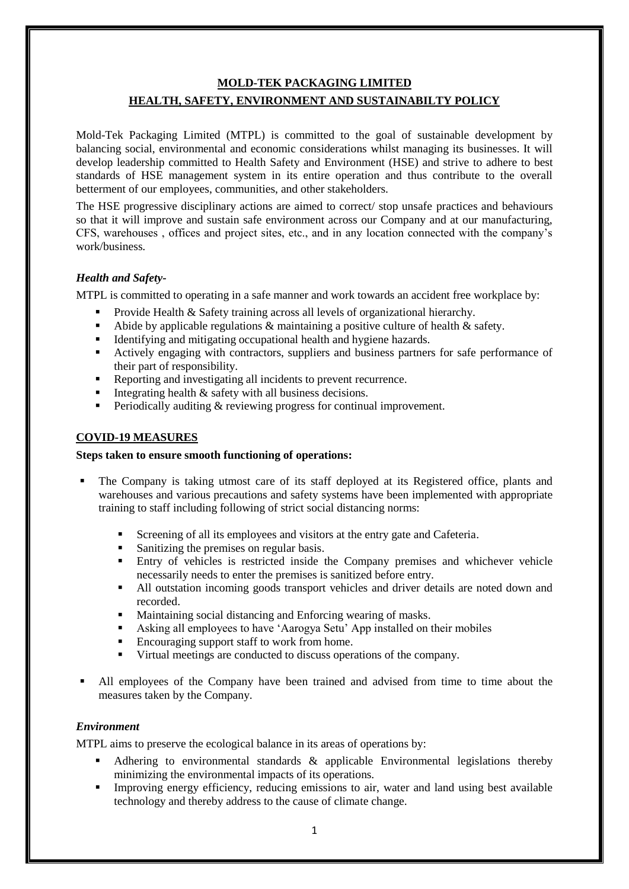#### **MOLD-TEK PACKAGING LIMITED**

# **HEALTH, SAFETY, ENVIRONMENT AND SUSTAINABILTY POLICY**

Mold-Tek Packaging Limited (MTPL) is committed to the goal of sustainable development by balancing social, environmental and economic considerations whilst managing its businesses. It will develop leadership committed to Health Safety and Environment (HSE) and strive to adhere to best standards of HSE management system in its entire operation and thus contribute to the overall betterment of our employees, communities, and other stakeholders.

The HSE progressive disciplinary actions are aimed to correct/ stop unsafe practices and behaviours so that it will improve and sustain safe environment across our Company and at our manufacturing, CFS, warehouses , offices and project sites, etc., and in any location connected with the company's work/business.

### *Health and Safety-*

MTPL is committed to operating in a safe manner and work towards an accident free workplace by:

- **Provide Health & Safety training across all levels of organizational hierarchy.**
- Abide by applicable regulations  $\&$  maintaining a positive culture of health  $\&$  safety.
- Identifying and mitigating occupational health and hygiene hazards.
- Actively engaging with contractors, suppliers and business partners for safe performance of their part of responsibility.
- Reporting and investigating all incidents to prevent recurrence.
- Integrating health  $\&$  safety with all business decisions.
- Periodically auditing  $&$  reviewing progress for continual improvement.

## **COVID-19 MEASURES**

### **Steps taken to ensure smooth functioning of operations:**

- The Company is taking utmost care of its staff deployed at its Registered office, plants and warehouses and various precautions and safety systems have been implemented with appropriate training to staff including following of strict social distancing norms:
	- Screening of all its employees and visitors at the entry gate and Cafeteria.
	- Sanitizing the premises on regular basis.
	- Entry of vehicles is restricted inside the Company premises and whichever vehicle necessarily needs to enter the premises is sanitized before entry.
	- All outstation incoming goods transport vehicles and driver details are noted down and recorded.
	- Maintaining social distancing and Enforcing wearing of masks.
	- Asking all employees to have 'Aarogya Setu' App installed on their mobiles
	- Encouraging support staff to work from home.
	- Virtual meetings are conducted to discuss operations of the company.
- All employees of the Company have been trained and advised from time to time about the measures taken by the Company.

### *Environment*

MTPL aims to preserve the ecological balance in its areas of operations by:

- Adhering to environmental standards & applicable Environmental legislations thereby minimizing the environmental impacts of its operations.
- Improving energy efficiency, reducing emissions to air, water and land using best available technology and thereby address to the cause of climate change.